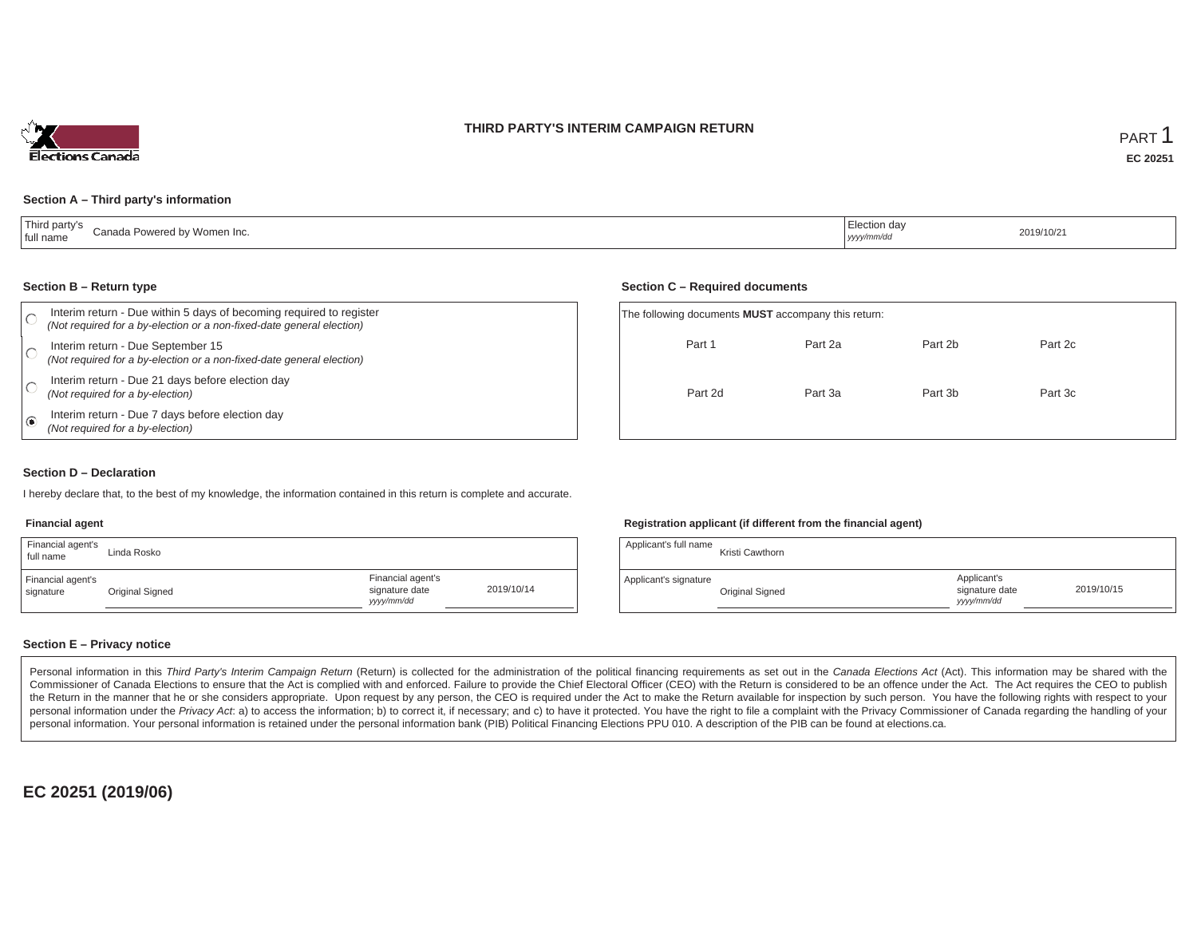### **THIRD PARTY'S INTERIM CAMPAIGN RETURN**



### **Section A – Third party's information**

| 'Third party's<br>Canada Powered by Women Inc.<br>tull name | lection dav<br>yyyy/mm/dd | 2019/10/2 |
|-------------------------------------------------------------|---------------------------|-----------|
|-------------------------------------------------------------|---------------------------|-----------|

#### **Section B – Return type**

| Interim return - Due within 5 days of becoming required to register<br>(Not required for a by-election or a non-fixed-date general election) | The following documents <b>MUST</b> accompany this return: |         |         |         |  |
|----------------------------------------------------------------------------------------------------------------------------------------------|------------------------------------------------------------|---------|---------|---------|--|
| Interim return - Due September 15<br>(Not required for a by-election or a non-fixed-date general election)                                   | Part 1                                                     | Part 2a | Part 2b | Part 2c |  |
| Interim return - Due 21 days before election day<br>(Not required for a by-election)                                                         | Part 2d                                                    | Part 3a | Part 3b | Part 3c |  |
| Interim return - Due 7 days before election day<br>(Not required for a by-election)                                                          |                                                            |         |         |         |  |

#### **Section D – Declaration**

I hereby declare that, to the best of my knowledge, the information contained in this return is complete and accurate.

#### **Financial agent**

| Financial agent's<br>full name | Linda Rosko     |                                                  |            |
|--------------------------------|-----------------|--------------------------------------------------|------------|
| Financial agent's<br>signature | Original Signed | Financial agent's<br>signature date<br>vyy/mm/dd | 2019/10/14 |

### **Registration applicant (if different from the financial agent)**

**Section C – Required documents**

| Applicant's full name | Kristi Cawthorn |                                             |            |
|-----------------------|-----------------|---------------------------------------------|------------|
| Applicant's signature | Original Signed | Applicant's<br>signature date<br>yyyy/mm/dd | 2019/10/15 |

### **Section E – Privacy notice**

Personal information in this Third Party's Interim Campaign Return (Return) is collected for the administration of the political financing requirements as set out in the Canada Elections Act (Act). This information may be Commissioner of Canada Elections to ensure that the Act is complied with and enforced. Failure to provide the Chief Electoral Officer (CEO) with the Return is considered to be an offence under the Act. The Act requires the the Return in the manner that he or she considers appropriate. Upon request by any person, the CEO is required under the Act to make the Return available for inspection by such person. You have the following rights with re personal information under the Privacy Act. a) to access the information; b) to correct it, if necessary; and c) to have it protected. You have the right to file a complaint with the Privacy Commissioner of Canada regardin personal information. Your personal information is retained under the personal information bank (PIB) Political Financing Elections PPU 010. A description of the PIB can be found at elections.ca.

**EC 20251 (2019/06)**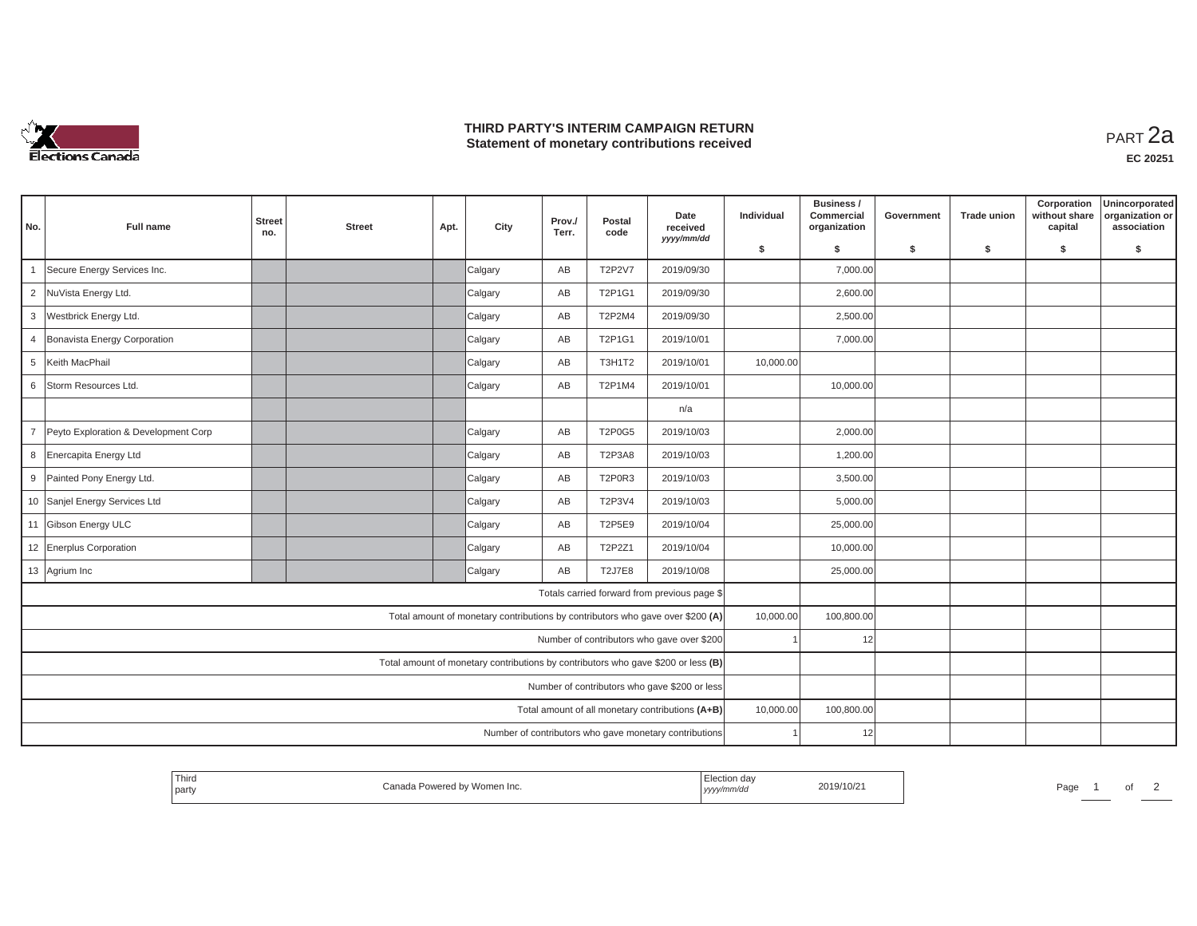

## **THIRD PARTY'S INTERIM CAMPAIGN RETURN THIRD PARTY'S INTERIM CAMPAIGN RETURN<br>Statement of monetary contributions received**

| No.                                                                               | <b>Full name</b>                                 | <b>Street</b><br>no. | <b>Street</b> | Apt. | City    | Prov./<br>Terr. | Postal<br>code | Date<br>received<br>yyyy/mm/dd                                                 | Individual | Business /<br>Commercial<br>organization | Government | <b>Trade union</b> | Corporation<br>without share<br>capital | Unincorporated<br>organization or<br>association |
|-----------------------------------------------------------------------------------|--------------------------------------------------|----------------------|---------------|------|---------|-----------------|----------------|--------------------------------------------------------------------------------|------------|------------------------------------------|------------|--------------------|-----------------------------------------|--------------------------------------------------|
|                                                                                   |                                                  |                      |               |      |         |                 |                |                                                                                | \$         | s.                                       | \$         | S.                 | \$                                      | \$                                               |
|                                                                                   | Secure Energy Services Inc.                      |                      |               |      | Calgary | AB              | <b>T2P2V7</b>  | 2019/09/30                                                                     |            | 7,000.00                                 |            |                    |                                         |                                                  |
| $\overline{2}$                                                                    | NuVista Energy Ltd.                              |                      |               |      | Calgary | AB              | T2P1G1         | 2019/09/30                                                                     |            | 2,600.00                                 |            |                    |                                         |                                                  |
| 3                                                                                 | Westbrick Energy Ltd.                            |                      |               |      | Calgary | AB              | T2P2M4         | 2019/09/30                                                                     |            | 2,500.00                                 |            |                    |                                         |                                                  |
| $\overline{4}$                                                                    | Bonavista Energy Corporation                     |                      |               |      | Calgary | AB              | T2P1G1         | 2019/10/01                                                                     |            | 7,000.00                                 |            |                    |                                         |                                                  |
| $5\phantom{.0}$                                                                   | Keith MacPhail                                   |                      |               |      | Calgary | AB              | <b>T3H1T2</b>  | 2019/10/01                                                                     | 10,000.00  |                                          |            |                    |                                         |                                                  |
| 6                                                                                 | Storm Resources Ltd.                             |                      |               |      | Calgary | AB              | T2P1M4         | 2019/10/01                                                                     |            | 10,000.00                                |            |                    |                                         |                                                  |
|                                                                                   |                                                  |                      |               |      |         |                 |                | n/a                                                                            |            |                                          |            |                    |                                         |                                                  |
| $\overline{7}$                                                                    | Peyto Exploration & Development Corp             |                      |               |      | Calgary | AB              | <b>T2P0G5</b>  | 2019/10/03                                                                     |            | 2,000.00                                 |            |                    |                                         |                                                  |
| 8                                                                                 | Enercapita Energy Ltd                            |                      |               |      | Calgary | AB              | <b>T2P3A8</b>  | 2019/10/03                                                                     |            | 1,200.00                                 |            |                    |                                         |                                                  |
| 9                                                                                 | Painted Pony Energy Ltd.                         |                      |               |      | Calgary | AB              | T2P0R3         | 2019/10/03                                                                     |            | 3,500.00                                 |            |                    |                                         |                                                  |
|                                                                                   | 10 Sanjel Energy Services Ltd                    |                      |               |      | Calgary | AB              | <b>T2P3V4</b>  | 2019/10/03                                                                     |            | 5,000.00                                 |            |                    |                                         |                                                  |
|                                                                                   | 11 Gibson Energy ULC                             |                      |               |      | Calgary | AB              | T2P5E9         | 2019/10/04                                                                     |            | 25,000.00                                |            |                    |                                         |                                                  |
|                                                                                   | 12 Enerplus Corporation                          |                      |               |      | Calgary | AB              | T2P2Z1         | 2019/10/04                                                                     |            | 10,000.00                                |            |                    |                                         |                                                  |
|                                                                                   | 13 Agrium Inc                                    |                      |               |      | Calgary | AB              | <b>T2J7E8</b>  | 2019/10/08                                                                     |            | 25,000.00                                |            |                    |                                         |                                                  |
|                                                                                   |                                                  |                      |               |      |         |                 |                | Totals carried forward from previous page \$                                   |            |                                          |            |                    |                                         |                                                  |
|                                                                                   |                                                  |                      |               |      |         |                 |                | Total amount of monetary contributions by contributors who gave over \$200 (A) | 10,000.00  | 100,800.00                               |            |                    |                                         |                                                  |
| Number of contributors who gave over \$200                                        |                                                  |                      |               |      |         |                 |                |                                                                                | 12         |                                          |            |                    |                                         |                                                  |
| Total amount of monetary contributions by contributors who gave \$200 or less (B) |                                                  |                      |               |      |         |                 |                |                                                                                |            |                                          |            |                    |                                         |                                                  |
| Number of contributors who gave \$200 or less                                     |                                                  |                      |               |      |         |                 |                |                                                                                |            |                                          |            |                    |                                         |                                                  |
|                                                                                   | Total amount of all monetary contributions (A+B) |                      |               |      |         |                 |                |                                                                                |            | 100,800.00                               |            |                    |                                         |                                                  |
|                                                                                   |                                                  |                      |               |      |         |                 |                | Number of contributors who gave monetary contributions                         |            | 12                                       |            |                    |                                         |                                                  |

| ' Third<br>party | Canada Powered by Women Inc. | Election dav<br>2019/10/21<br>yyyy/mm/dd | Page |
|------------------|------------------------------|------------------------------------------|------|
|------------------|------------------------------|------------------------------------------|------|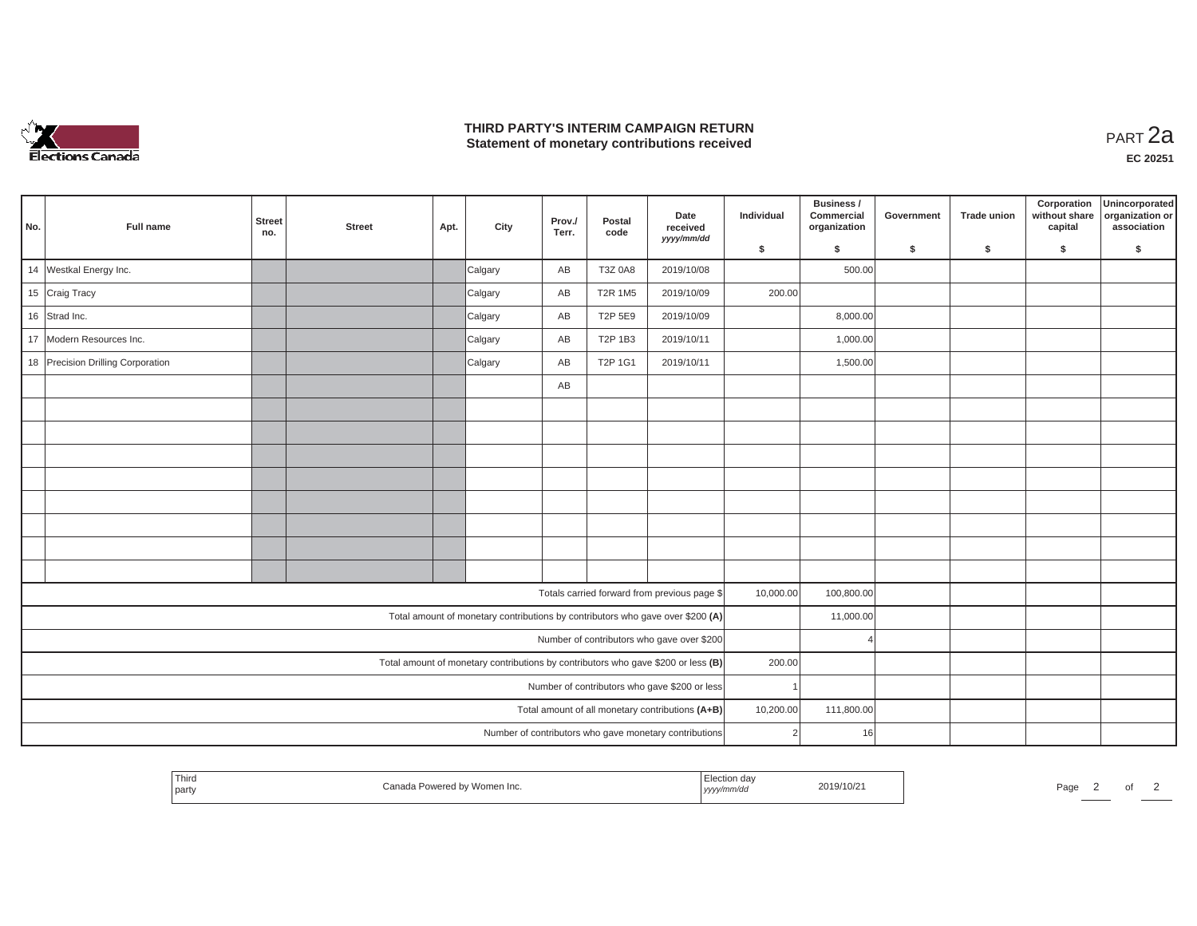

## **THIRD PARTY'S INTERIM CAMPAIGN RETURN THIRD PARTY'S INTERIM CAMPAIGN RETURN<br>Statement of monetary contributions received**

| No.                                                                            | Full name                                                                         | <b>Street</b><br>no.                             | <b>Street</b> | Apt.       | City    | Prov./<br>Terr. | Postal<br>code | Date<br>received<br>yyyy/mm/dd                         | Individual | Business /<br>Commercial<br>organization | Government | <b>Trade union</b> | Corporation<br>without share<br>capital | Unincorporated<br>organization or<br>association |
|--------------------------------------------------------------------------------|-----------------------------------------------------------------------------------|--------------------------------------------------|---------------|------------|---------|-----------------|----------------|--------------------------------------------------------|------------|------------------------------------------|------------|--------------------|-----------------------------------------|--------------------------------------------------|
|                                                                                |                                                                                   |                                                  |               |            |         |                 |                |                                                        | \$         | \$                                       | \$         | \$                 | \$                                      | \$                                               |
|                                                                                | 14 Westkal Energy Inc.                                                            |                                                  |               |            | Calgary | AB              | T3Z 0A8        | 2019/10/08                                             |            | 500.00                                   |            |                    |                                         |                                                  |
|                                                                                | 15 Craig Tracy                                                                    |                                                  |               |            | Calgary | AB              | <b>T2R 1M5</b> | 2019/10/09                                             | 200.00     |                                          |            |                    |                                         |                                                  |
|                                                                                | 16 Strad Inc.                                                                     |                                                  |               |            | Calgary | AB              | T2P 5E9        | 2019/10/09                                             |            | 8,000.00                                 |            |                    |                                         |                                                  |
| 17                                                                             | Modern Resources Inc.                                                             |                                                  |               |            | Calgary | AB              | T2P 1B3        | 2019/10/11                                             |            | 1,000.00                                 |            |                    |                                         |                                                  |
|                                                                                | 18 Precision Drilling Corporation                                                 |                                                  |               |            | Calgary | AB              | T2P 1G1        | 2019/10/11                                             |            | 1,500.00                                 |            |                    |                                         |                                                  |
|                                                                                |                                                                                   |                                                  |               |            |         | AB              |                |                                                        |            |                                          |            |                    |                                         |                                                  |
|                                                                                |                                                                                   |                                                  |               |            |         |                 |                |                                                        |            |                                          |            |                    |                                         |                                                  |
|                                                                                |                                                                                   |                                                  |               |            |         |                 |                |                                                        |            |                                          |            |                    |                                         |                                                  |
|                                                                                |                                                                                   |                                                  |               |            |         |                 |                |                                                        |            |                                          |            |                    |                                         |                                                  |
|                                                                                |                                                                                   |                                                  |               |            |         |                 |                |                                                        |            |                                          |            |                    |                                         |                                                  |
|                                                                                |                                                                                   |                                                  |               |            |         |                 |                |                                                        |            |                                          |            |                    |                                         |                                                  |
|                                                                                |                                                                                   |                                                  |               |            |         |                 |                |                                                        |            |                                          |            |                    |                                         |                                                  |
|                                                                                |                                                                                   |                                                  |               |            |         |                 |                |                                                        |            |                                          |            |                    |                                         |                                                  |
|                                                                                |                                                                                   |                                                  |               |            |         |                 |                |                                                        |            |                                          |            |                    |                                         |                                                  |
|                                                                                |                                                                                   |                                                  |               |            |         |                 |                | Totals carried forward from previous page \$           | 10,000.00  | 100,800.00                               |            |                    |                                         |                                                  |
| Total amount of monetary contributions by contributors who gave over \$200 (A) |                                                                                   |                                                  |               |            |         |                 |                |                                                        | 11,000.00  |                                          |            |                    |                                         |                                                  |
|                                                                                | Number of contributors who gave over \$200                                        |                                                  |               |            |         |                 |                |                                                        |            |                                          |            |                    |                                         |                                                  |
|                                                                                | Total amount of monetary contributions by contributors who gave \$200 or less (B) |                                                  |               |            |         |                 |                |                                                        | 200.00     |                                          |            |                    |                                         |                                                  |
| Number of contributors who gave \$200 or less                                  |                                                                                   |                                                  |               |            |         |                 |                |                                                        |            |                                          |            |                    |                                         |                                                  |
|                                                                                |                                                                                   | Total amount of all monetary contributions (A+B) | 10,200.00     | 111,800.00 |         |                 |                |                                                        |            |                                          |            |                    |                                         |                                                  |
|                                                                                |                                                                                   |                                                  |               |            |         |                 |                | Number of contributors who gave monetary contributions | 2          | 16                                       |            |                    |                                         |                                                  |

| Third<br>2019/10/21<br>Paα∈<br><b>Contract Contract</b><br><i>i</i> party<br>,,,,, |  |  |
|------------------------------------------------------------------------------------|--|--|
|------------------------------------------------------------------------------------|--|--|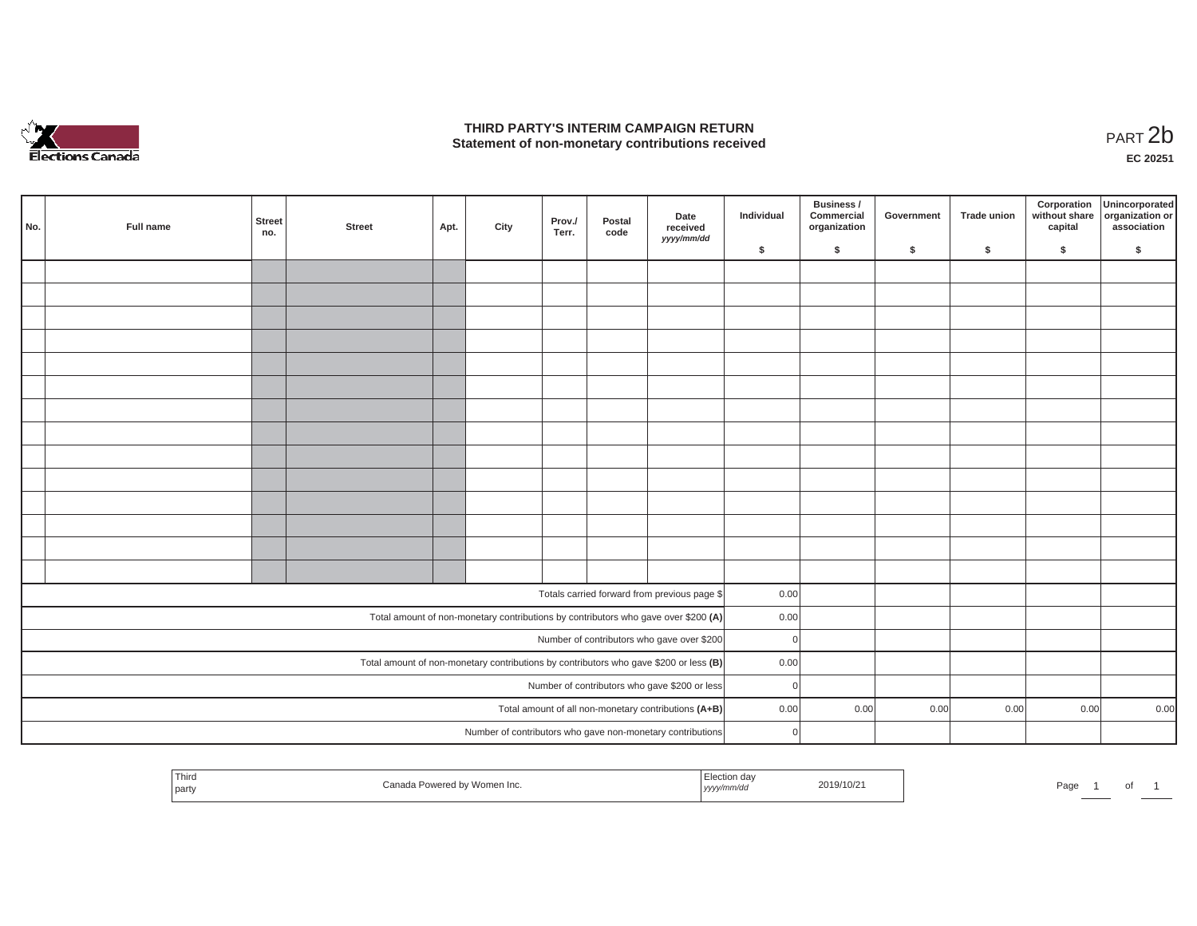

## **THIRD PARTY'S INTERIM CAMPAIGN RETURN**  THIRD PARTY'S INTERIM CAMPAIGN RETURN<br>Statement of non-monetary contributions received<br>**PART 2**b

**EC 20251**

|                                                                                         | No. | Full name | <b>Street</b><br>no. | <b>Street</b> | Apt. | City | Prov./<br>Terr. | Postal<br>code | Date<br>received<br>yyyy/mm/dd                                                     | Individual | Business /<br>Commercial<br>organization | Government | <b>Trade union</b> | Corporation<br>without share<br>capital | Unincorporated<br>organization or<br>association |
|-----------------------------------------------------------------------------------------|-----|-----------|----------------------|---------------|------|------|-----------------|----------------|------------------------------------------------------------------------------------|------------|------------------------------------------|------------|--------------------|-----------------------------------------|--------------------------------------------------|
|                                                                                         |     |           |                      |               |      |      |                 |                |                                                                                    | \$         | \$                                       | \$         | -S                 | \$                                      | S.                                               |
|                                                                                         |     |           |                      |               |      |      |                 |                |                                                                                    |            |                                          |            |                    |                                         |                                                  |
|                                                                                         |     |           |                      |               |      |      |                 |                |                                                                                    |            |                                          |            |                    |                                         |                                                  |
|                                                                                         |     |           |                      |               |      |      |                 |                |                                                                                    |            |                                          |            |                    |                                         |                                                  |
|                                                                                         |     |           |                      |               |      |      |                 |                |                                                                                    |            |                                          |            |                    |                                         |                                                  |
|                                                                                         |     |           |                      |               |      |      |                 |                |                                                                                    |            |                                          |            |                    |                                         |                                                  |
|                                                                                         |     |           |                      |               |      |      |                 |                |                                                                                    |            |                                          |            |                    |                                         |                                                  |
|                                                                                         |     |           |                      |               |      |      |                 |                |                                                                                    |            |                                          |            |                    |                                         |                                                  |
|                                                                                         |     |           |                      |               |      |      |                 |                |                                                                                    |            |                                          |            |                    |                                         |                                                  |
|                                                                                         |     |           |                      |               |      |      |                 |                |                                                                                    |            |                                          |            |                    |                                         |                                                  |
|                                                                                         |     |           |                      |               |      |      |                 |                |                                                                                    |            |                                          |            |                    |                                         |                                                  |
|                                                                                         |     |           |                      |               |      |      |                 |                |                                                                                    |            |                                          |            |                    |                                         |                                                  |
|                                                                                         |     |           |                      |               |      |      |                 |                |                                                                                    |            |                                          |            |                    |                                         |                                                  |
|                                                                                         |     |           |                      |               |      |      |                 |                |                                                                                    |            |                                          |            |                    |                                         |                                                  |
|                                                                                         |     |           |                      |               |      |      |                 |                |                                                                                    |            |                                          |            |                    |                                         |                                                  |
|                                                                                         |     |           |                      |               |      |      |                 |                |                                                                                    |            |                                          |            |                    |                                         |                                                  |
|                                                                                         |     |           |                      |               |      |      |                 |                | Totals carried forward from previous page \$                                       | 0.00       |                                          |            |                    |                                         |                                                  |
|                                                                                         |     |           |                      |               |      |      |                 |                | Total amount of non-monetary contributions by contributors who gave over \$200 (A) | 0.00       |                                          |            |                    |                                         |                                                  |
| Number of contributors who gave over \$200                                              |     |           |                      |               |      |      |                 |                | $\Omega$                                                                           |            |                                          |            |                    |                                         |                                                  |
| Total amount of non-monetary contributions by contributors who gave \$200 or less $(B)$ |     |           |                      |               |      |      |                 |                |                                                                                    | 0.00       |                                          |            |                    |                                         |                                                  |
| Number of contributors who gave \$200 or less                                           |     |           |                      |               |      |      |                 |                |                                                                                    | $\Omega$   |                                          |            |                    |                                         |                                                  |
|                                                                                         |     |           |                      |               |      |      |                 |                | Total amount of all non-monetary contributions (A+B)                               | 0.00       | 0.00                                     | 0.00       | 0.00               | 0.00                                    | 0.00                                             |
|                                                                                         |     |           |                      |               |      |      |                 |                | Number of contributors who gave non-monetary contributions                         | $\Omega$   |                                          |            |                    |                                         |                                                  |

| Thira<br>  party | vvomen inc.<br>-uweleu uv | 2019/10/21<br>wac.<br>, уууулт | Page<br>$\cdot$ |
|------------------|---------------------------|--------------------------------|-----------------|
|------------------|---------------------------|--------------------------------|-----------------|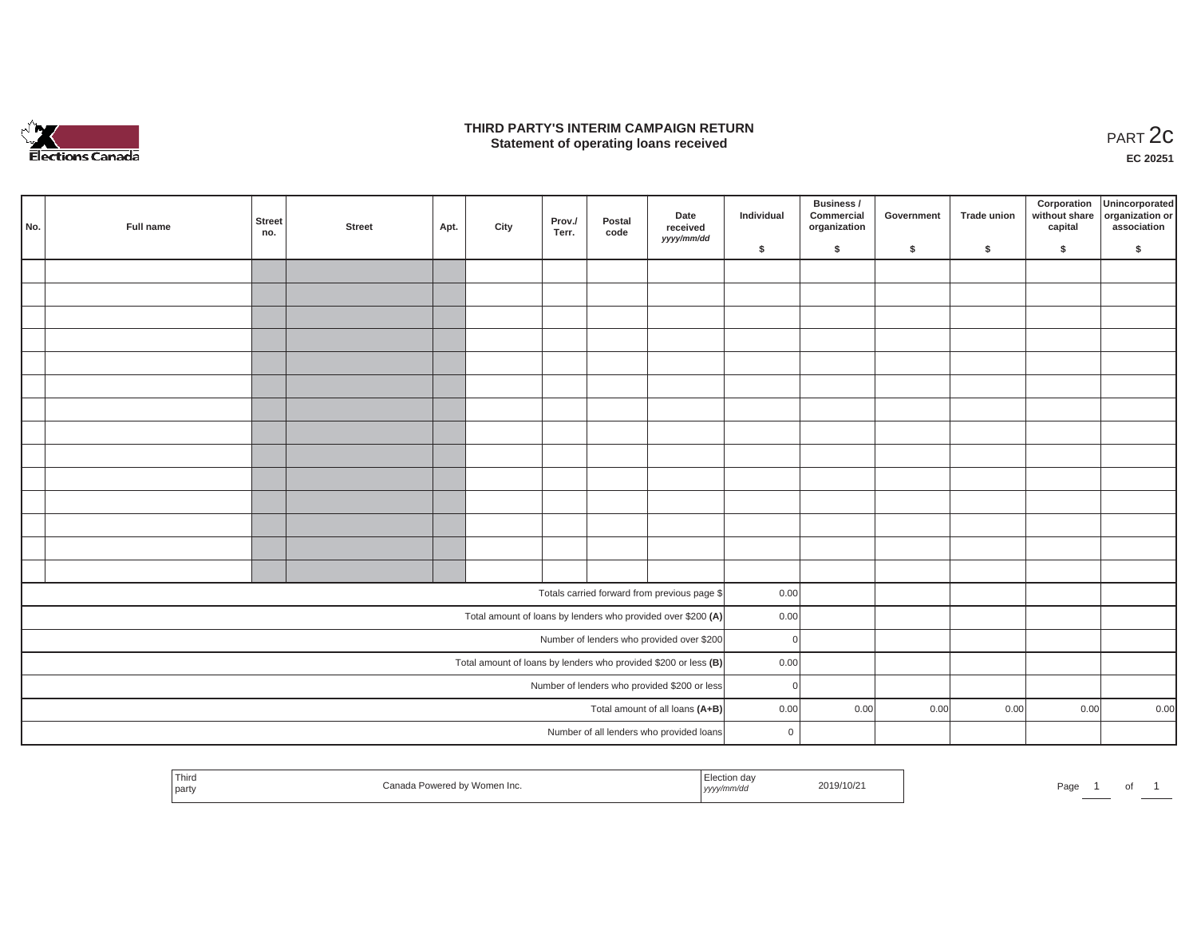

### **THIRD PARTY'S INTERIM CAMPAIGN RETURN**  RD PARTY'S INTERIM CAMPAIGN RETURN<br>Statement of operating loans received **PART 2c**

**EC 20251**

L.

| No.                                                          | Full name                                                       | Street<br>no. | Street | Apt. | City | Prov./<br>Terr. | Postal<br>code | Date<br>received<br>yyyy/mm/dd               | Individual  | Business /<br>Commercial<br>organization | Government | Trade union | Corporation<br>without share<br>capital | Unincorporated<br>organization or<br>association |
|--------------------------------------------------------------|-----------------------------------------------------------------|---------------|--------|------|------|-----------------|----------------|----------------------------------------------|-------------|------------------------------------------|------------|-------------|-----------------------------------------|--------------------------------------------------|
|                                                              |                                                                 |               |        |      |      |                 |                |                                              | \$          | $\sqrt{2}$                               | \$         | $\sqrt{2}$  | \$                                      | \$                                               |
|                                                              |                                                                 |               |        |      |      |                 |                |                                              |             |                                          |            |             |                                         |                                                  |
|                                                              |                                                                 |               |        |      |      |                 |                |                                              |             |                                          |            |             |                                         |                                                  |
|                                                              |                                                                 |               |        |      |      |                 |                |                                              |             |                                          |            |             |                                         |                                                  |
|                                                              |                                                                 |               |        |      |      |                 |                |                                              |             |                                          |            |             |                                         |                                                  |
|                                                              |                                                                 |               |        |      |      |                 |                |                                              |             |                                          |            |             |                                         |                                                  |
|                                                              |                                                                 |               |        |      |      |                 |                |                                              |             |                                          |            |             |                                         |                                                  |
|                                                              |                                                                 |               |        |      |      |                 |                |                                              |             |                                          |            |             |                                         |                                                  |
|                                                              |                                                                 |               |        |      |      |                 |                |                                              |             |                                          |            |             |                                         |                                                  |
|                                                              |                                                                 |               |        |      |      |                 |                |                                              |             |                                          |            |             |                                         |                                                  |
|                                                              |                                                                 |               |        |      |      |                 |                |                                              |             |                                          |            |             |                                         |                                                  |
|                                                              |                                                                 |               |        |      |      |                 |                |                                              |             |                                          |            |             |                                         |                                                  |
|                                                              |                                                                 |               |        |      |      |                 |                |                                              |             |                                          |            |             |                                         |                                                  |
|                                                              |                                                                 |               |        |      |      |                 |                |                                              |             |                                          |            |             |                                         |                                                  |
|                                                              |                                                                 |               |        |      |      |                 |                |                                              |             |                                          |            |             |                                         |                                                  |
|                                                              |                                                                 |               |        |      |      |                 |                |                                              |             |                                          |            |             |                                         |                                                  |
|                                                              |                                                                 |               |        |      |      |                 |                | Totals carried forward from previous page \$ | 0.00        |                                          |            |             |                                         |                                                  |
| Total amount of loans by lenders who provided over \$200 (A) |                                                                 |               |        |      |      |                 |                |                                              | 0.00        |                                          |            |             |                                         |                                                  |
|                                                              | Number of lenders who provided over \$200                       |               |        |      |      |                 |                |                                              | $\Omega$    |                                          |            |             |                                         |                                                  |
|                                                              | Total amount of loans by lenders who provided \$200 or less (B) |               |        |      |      |                 |                |                                              | 0.00        |                                          |            |             |                                         |                                                  |
| Number of lenders who provided \$200 or less                 |                                                                 |               |        |      |      |                 |                | $\Omega$                                     |             |                                          |            |             |                                         |                                                  |
| Total amount of all loans (A+B)                              |                                                                 |               |        |      |      |                 |                |                                              | 0.00        | 0.00                                     | 0.00       | 0.00        | 0.00                                    | 0.00                                             |
|                                                              |                                                                 |               |        |      |      |                 |                | Number of all lenders who provided loans     | $\mathsf 0$ |                                          |            |             |                                         |                                                  |
|                                                              |                                                                 |               |        |      |      |                 |                |                                              |             |                                          |            |             |                                         |                                                  |

| Third | Powered by Women Inc.<br>Canada | ⊦da<br>------ | 2019/10/21 |      |   |  |
|-------|---------------------------------|---------------|------------|------|---|--|
| part  |                                 | yyyy/mm/dd    |            | Page | ັ |  |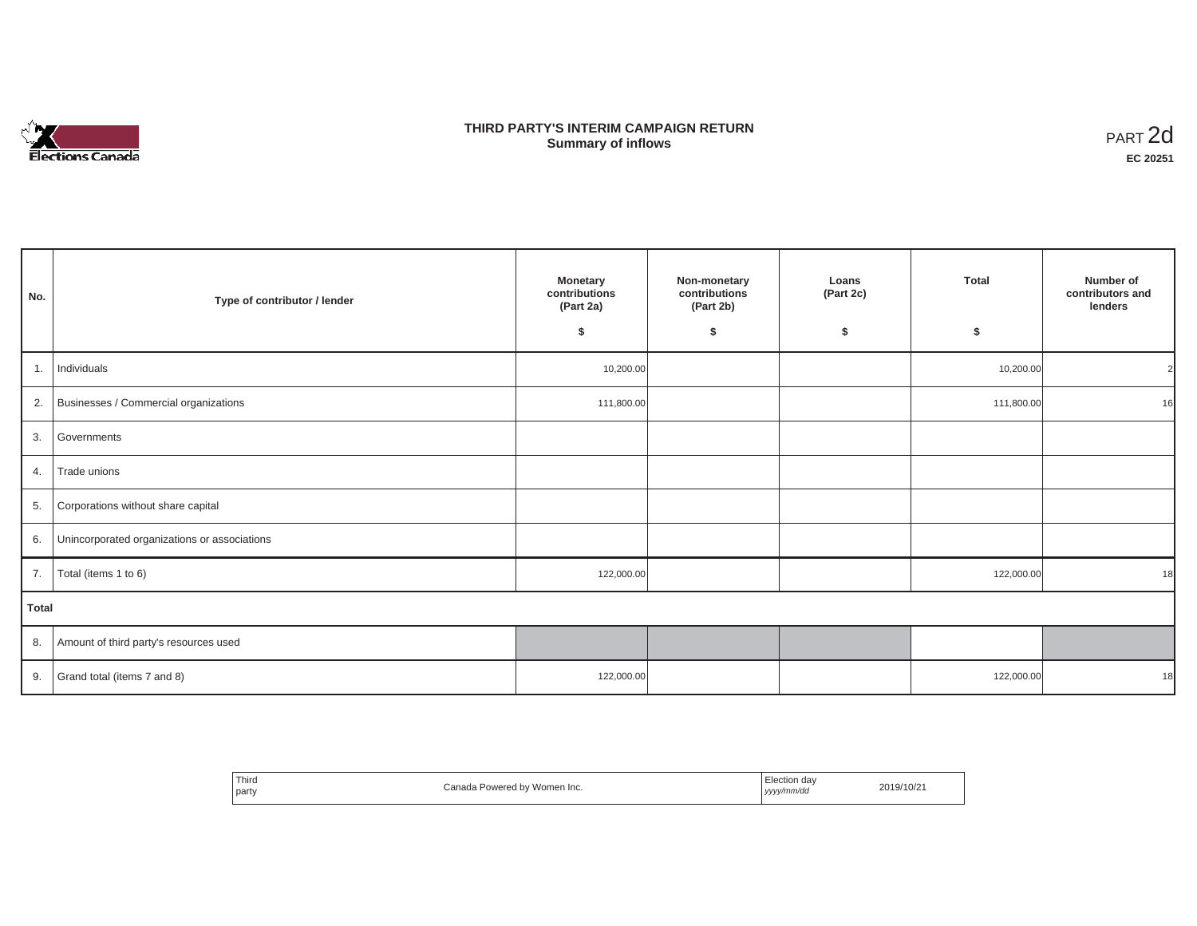

## **THIRD PARTY'S INTERIM CAMPAIGN RETURN SUMMARY STATE SUMMARY OF A SUMMARY OF A SUMMARY OF A SUMMARY OF A SUMMARY OF A SUMMARY OF A SUMMARY OF A SUMMA**<br> **Summary of inflows**

| No.   | Type of contributor / lender                    | <b>Monetary</b><br>contributions<br>(Part 2a)<br>\$ | Non-monetary<br>contributions<br>(Part 2b)<br>\$ | Loans<br>(Part 2c)<br>\$ | <b>Total</b><br>\$ | Number of<br>contributors and<br>lenders |
|-------|-------------------------------------------------|-----------------------------------------------------|--------------------------------------------------|--------------------------|--------------------|------------------------------------------|
| 1.    | Individuals                                     | 10,200.00                                           |                                                  |                          | 10,200.00          |                                          |
|       | 2. Businesses / Commercial organizations        | 111,800.00                                          |                                                  |                          | 111,800.00         | 16                                       |
| 3.    | Governments                                     |                                                     |                                                  |                          |                    |                                          |
| 4.    | Trade unions                                    |                                                     |                                                  |                          |                    |                                          |
| 5.    | Corporations without share capital              |                                                     |                                                  |                          |                    |                                          |
|       | 6. Unincorporated organizations or associations |                                                     |                                                  |                          |                    |                                          |
| 7.    | Total (items 1 to 6)                            | 122,000.00                                          |                                                  |                          | 122,000.00         | 18                                       |
| Total |                                                 |                                                     |                                                  |                          |                    |                                          |
|       | 8. Amount of third party's resources used       |                                                     |                                                  |                          |                    |                                          |
|       | 9. Grand total (items $7$ and 8)                | 122,000.00                                          |                                                  |                          | 122,000.00         | 18                                       |

| <sup>1</sup> Third<br>party | Canada Powered by Women Inc. | Election dav<br>yyyy/mm/da<br>. | 2019/10/21 |
|-----------------------------|------------------------------|---------------------------------|------------|
|-----------------------------|------------------------------|---------------------------------|------------|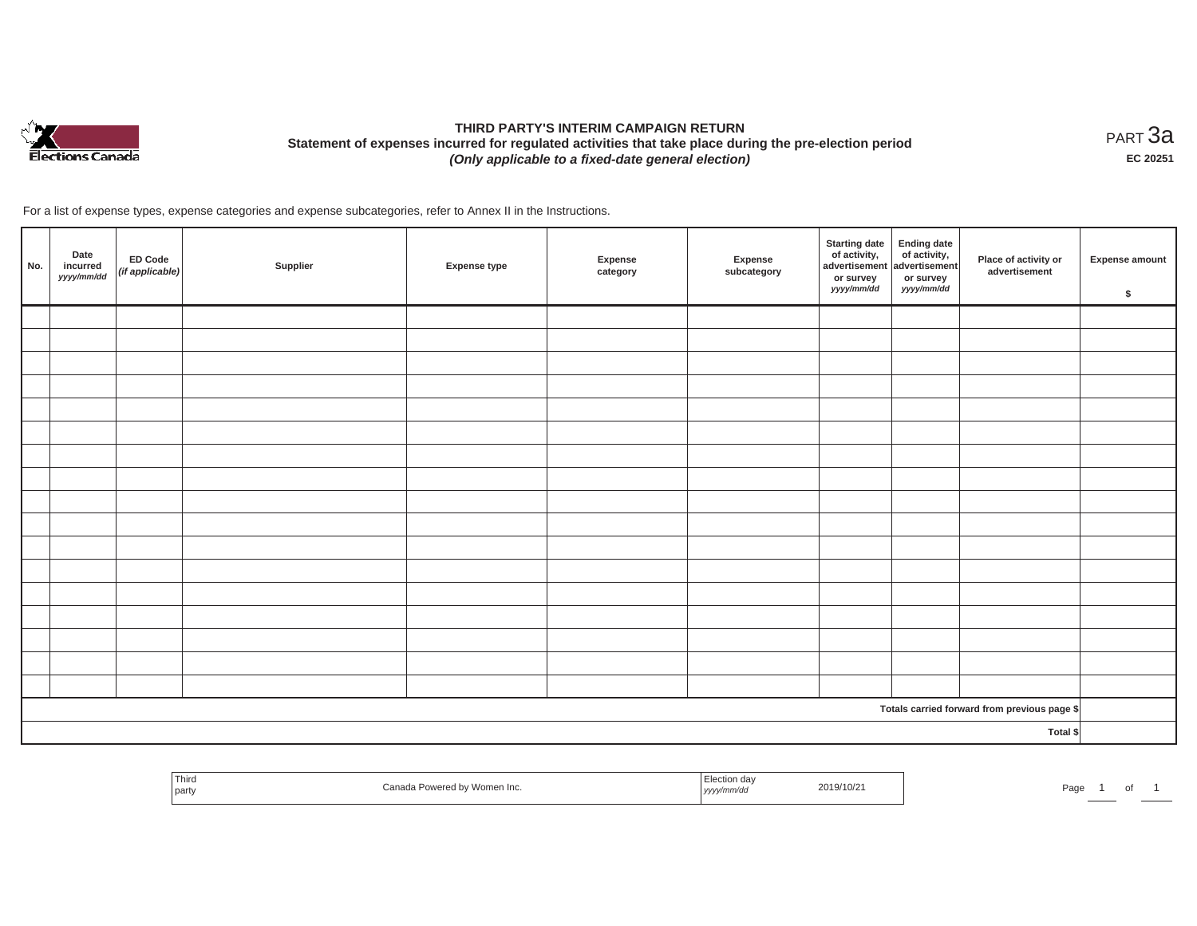

# **THIRD PARTY'S INTERIM CAMPAIGN RETURN Statement of expenses incurred for regulated activities that take place during the pre-election period**  *(Only applicable to a fixed-date general election)*

<code>PART $3$ a</code> **EC 20251**

For a list of expense types, expense categories and expense subcategories, refer to Annex II in the Instructions.

| No. | Date<br>incurred<br>yyyy/mm/dd | ED Code<br>(if applicable) | Supplier | <b>Expense type</b> | Expense<br>category | Expense<br>subcategory | <b>Starting date</b><br>of activity,<br>advertisement<br>or survey<br>yyyy/mm/dd | Ending date<br>of activity,<br>advertisement<br>or survey<br>yyyy/mm/dd | Place of activity or<br>advertisement        | <b>Expense amount</b><br>\$ |
|-----|--------------------------------|----------------------------|----------|---------------------|---------------------|------------------------|----------------------------------------------------------------------------------|-------------------------------------------------------------------------|----------------------------------------------|-----------------------------|
|     |                                |                            |          |                     |                     |                        |                                                                                  |                                                                         |                                              |                             |
|     |                                |                            |          |                     |                     |                        |                                                                                  |                                                                         |                                              |                             |
|     |                                |                            |          |                     |                     |                        |                                                                                  |                                                                         |                                              |                             |
|     |                                |                            |          |                     |                     |                        |                                                                                  |                                                                         |                                              |                             |
|     |                                |                            |          |                     |                     |                        |                                                                                  |                                                                         |                                              |                             |
|     |                                |                            |          |                     |                     |                        |                                                                                  |                                                                         |                                              |                             |
|     |                                |                            |          |                     |                     |                        |                                                                                  |                                                                         |                                              |                             |
|     |                                |                            |          |                     |                     |                        |                                                                                  |                                                                         |                                              |                             |
|     |                                |                            |          |                     |                     |                        |                                                                                  |                                                                         |                                              |                             |
|     |                                |                            |          |                     |                     |                        |                                                                                  |                                                                         |                                              |                             |
|     |                                |                            |          |                     |                     |                        |                                                                                  |                                                                         |                                              |                             |
|     |                                |                            |          |                     |                     |                        |                                                                                  |                                                                         |                                              |                             |
|     |                                |                            |          |                     |                     |                        |                                                                                  |                                                                         |                                              |                             |
|     |                                |                            |          |                     |                     |                        |                                                                                  |                                                                         |                                              |                             |
|     |                                |                            |          |                     |                     |                        |                                                                                  |                                                                         |                                              |                             |
|     |                                |                            |          |                     |                     |                        |                                                                                  |                                                                         |                                              |                             |
|     |                                |                            |          |                     |                     |                        |                                                                                  |                                                                         |                                              |                             |
|     |                                |                            |          |                     |                     |                        |                                                                                  |                                                                         | Totals carried forward from previous page \$ |                             |
|     | Total \$                       |                            |          |                     |                     |                        |                                                                                  |                                                                         |                                              |                             |

| Third<br>udildud<br>party | omen Inc.<br>$\cdot$ | ,,,,, | 2019/10/21 | eus. |  |  |  |
|---------------------------|----------------------|-------|------------|------|--|--|--|
|---------------------------|----------------------|-------|------------|------|--|--|--|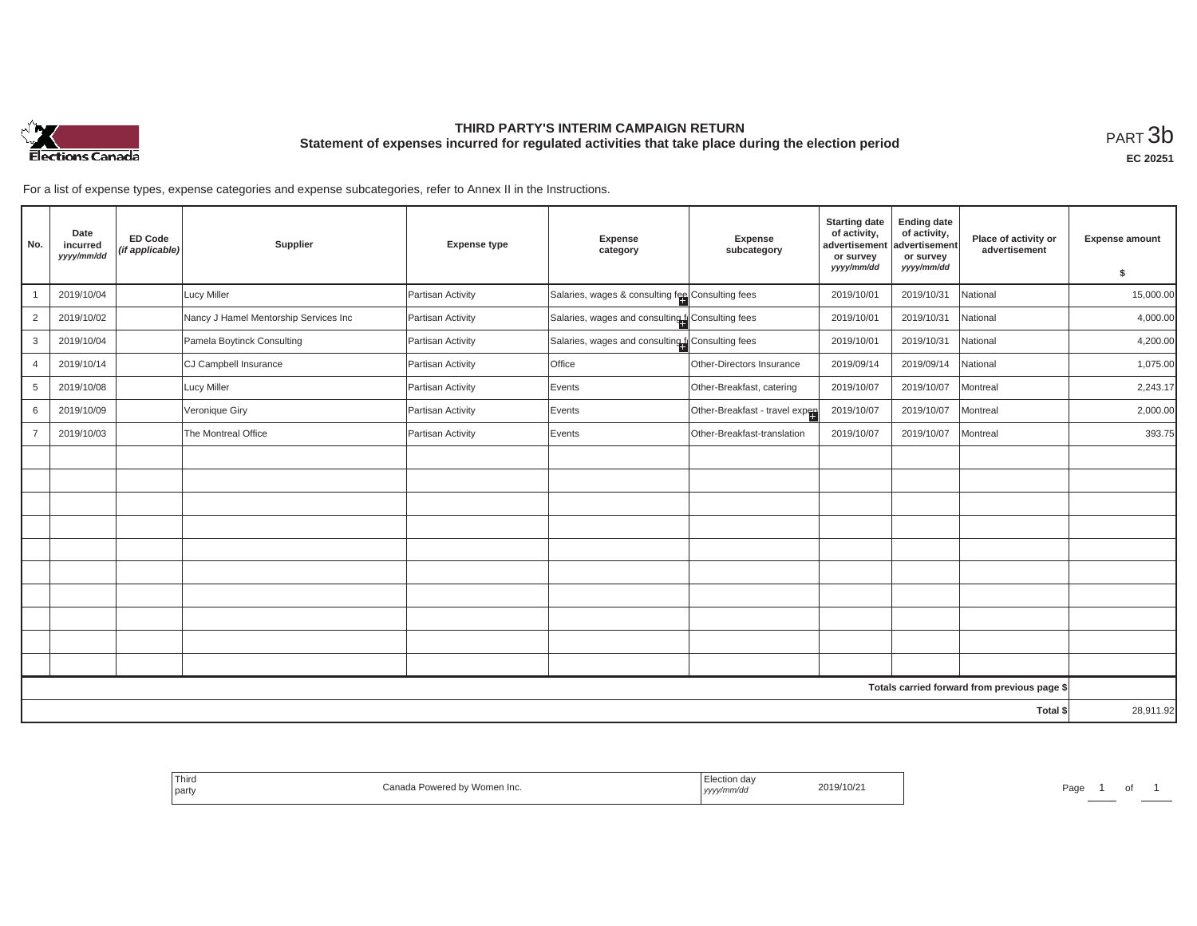

## **THIRD PARTY'S INTERIM CAMPAIGN RETURN Statement of expenses incurred for regulated activities that take place during the election period**<br>РАRТ  $3\mathrm{b}$

For a list of expense types, expense categories and expense subcategories, refer to Annex II in the Instructions.

| No.            | Date<br>incurred<br>yyyy/mm/dd | <b>ED Code</b><br>(if applicable) | Supplier                              | <b>Expense type</b> | Expense<br>category                                | Expense<br>subcategory         | <b>Starting date</b><br>of activity,<br>advertisement<br>or survey | <b>Ending date</b><br>of activity,<br>advertisement<br>or survey | Place of activity or<br>advertisement        | <b>Expense amount</b> |
|----------------|--------------------------------|-----------------------------------|---------------------------------------|---------------------|----------------------------------------------------|--------------------------------|--------------------------------------------------------------------|------------------------------------------------------------------|----------------------------------------------|-----------------------|
|                |                                |                                   |                                       |                     |                                                    |                                | yyyy/mm/dd                                                         | yyyy/mm/dd                                                       |                                              | \$                    |
|                | 2019/10/04                     |                                   | <b>Lucy Miller</b>                    | Partisan Activity   | Salaries, wages & consulting fee Consulting fees   |                                | 2019/10/01                                                         | 2019/10/31                                                       | National                                     | 15,000.00             |
| $\overline{2}$ | 2019/10/02                     |                                   | Nancy J Hamel Mentorship Services Inc | Partisan Activity   | Salaries, wages and consulting to Consulting fees  |                                | 2019/10/01                                                         | 2019/10/31                                                       | National                                     | 4,000.00              |
| 3              | 2019/10/04                     |                                   | Pamela Boytinck Consulting            | Partisan Activity   | Salaries, wages and consulting for Consulting fees |                                | 2019/10/01                                                         | 2019/10/31                                                       | National                                     | 4,200.00              |
| $\overline{4}$ | 2019/10/14                     |                                   | CJ Campbell Insurance                 | Partisan Activity   | Office                                             | Other-Directors Insurance      | 2019/09/14                                                         | 2019/09/14                                                       | National                                     | 1,075.00              |
| 5              | 2019/10/08                     |                                   | <b>Lucy Miller</b>                    | Partisan Activity   | Events                                             | Other-Breakfast, catering      | 2019/10/07                                                         | 2019/10/07                                                       | Montreal                                     | 2,243.17              |
| 6              | 2019/10/09                     |                                   | Veronique Giry                        | Partisan Activity   | Events                                             | Other-Breakfast - travel expen | 2019/10/07                                                         | 2019/10/07                                                       | Montreal                                     | 2,000.00              |
| $\overline{7}$ | 2019/10/03                     |                                   | The Montreal Office                   | Partisan Activity   | Events                                             | Other-Breakfast-translation    | 2019/10/07                                                         | 2019/10/07                                                       | Montreal                                     | 393.75                |
|                |                                |                                   |                                       |                     |                                                    |                                |                                                                    |                                                                  |                                              |                       |
|                |                                |                                   |                                       |                     |                                                    |                                |                                                                    |                                                                  |                                              |                       |
|                |                                |                                   |                                       |                     |                                                    |                                |                                                                    |                                                                  |                                              |                       |
|                |                                |                                   |                                       |                     |                                                    |                                |                                                                    |                                                                  |                                              |                       |
|                |                                |                                   |                                       |                     |                                                    |                                |                                                                    |                                                                  |                                              |                       |
|                |                                |                                   |                                       |                     |                                                    |                                |                                                                    |                                                                  |                                              |                       |
|                |                                |                                   |                                       |                     |                                                    |                                |                                                                    |                                                                  |                                              |                       |
|                |                                |                                   |                                       |                     |                                                    |                                |                                                                    |                                                                  |                                              |                       |
|                |                                |                                   |                                       |                     |                                                    |                                |                                                                    |                                                                  |                                              |                       |
|                |                                |                                   |                                       |                     |                                                    |                                |                                                                    |                                                                  |                                              |                       |
|                |                                |                                   |                                       |                     |                                                    |                                |                                                                    |                                                                  | Totals carried forward from previous page \$ |                       |
|                | Total \$                       |                                   |                                       |                     |                                                    |                                |                                                                    |                                                                  | 28,911.92                                    |                       |

| Third<br>the contract of the con-<br>party | <b>Conc</b><br>Women Inc.<br>Dowared | 2019/10/z<br>уууул" | Page |
|--------------------------------------------|--------------------------------------|---------------------|------|
|--------------------------------------------|--------------------------------------|---------------------|------|